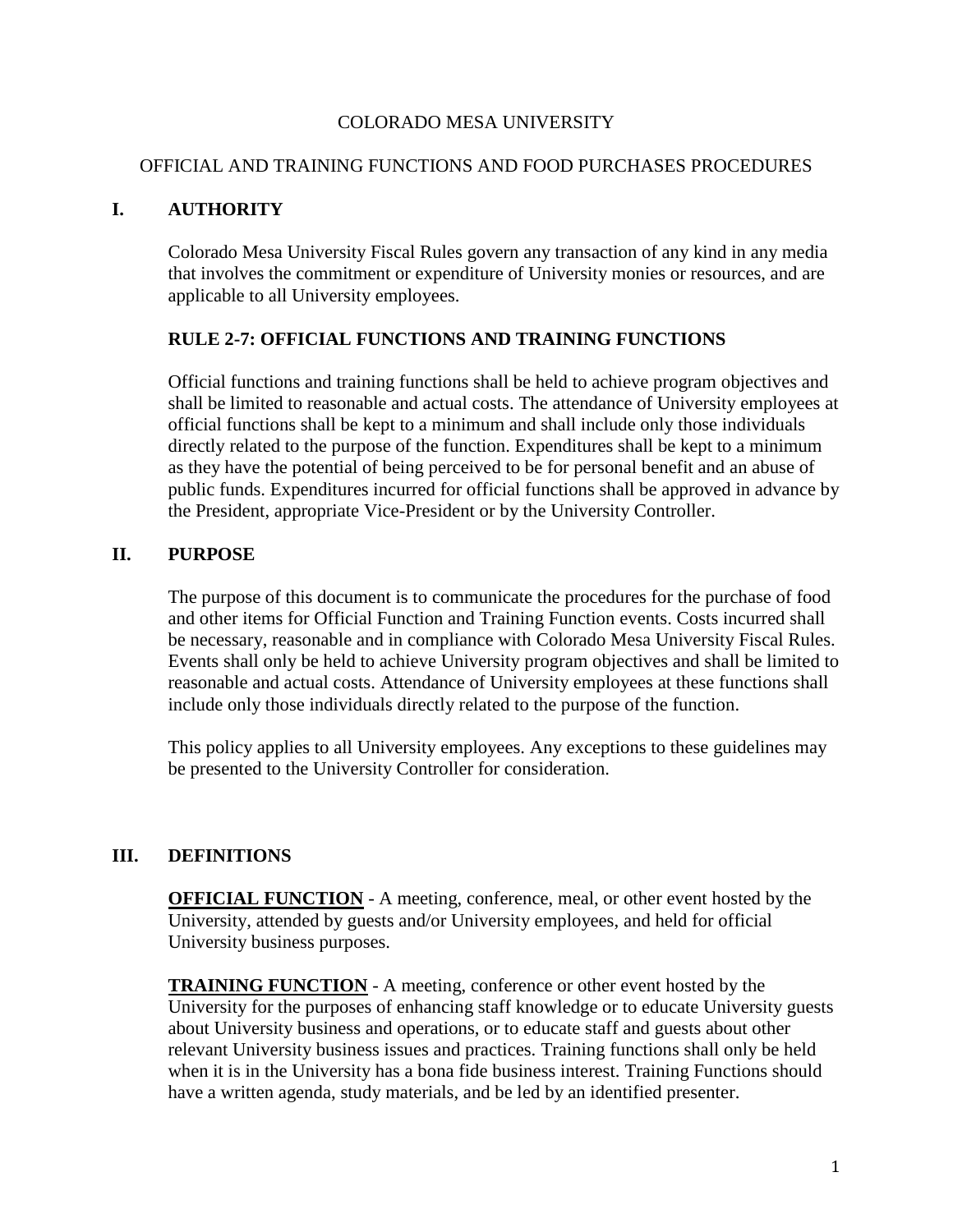#### COLORADO MESA UNIVERSITY

#### OFFICIAL AND TRAINING FUNCTIONS AND FOOD PURCHASES PROCEDURES

### **I. AUTHORITY**

Colorado Mesa University Fiscal Rules govern any transaction of any kind in any media that involves the commitment or expenditure of University monies or resources, and are applicable to all University employees.

#### **RULE 2-7: OFFICIAL FUNCTIONS AND TRAINING FUNCTIONS**

Official functions and training functions shall be held to achieve program objectives and shall be limited to reasonable and actual costs. The attendance of University employees at official functions shall be kept to a minimum and shall include only those individuals directly related to the purpose of the function. Expenditures shall be kept to a minimum as they have the potential of being perceived to be for personal benefit and an abuse of public funds. Expenditures incurred for official functions shall be approved in advance by the President, appropriate Vice-President or by the University Controller.

### **II. PURPOSE**

The purpose of this document is to communicate the procedures for the purchase of food and other items for Official Function and Training Function events. Costs incurred shall be necessary, reasonable and in compliance with Colorado Mesa University Fiscal Rules. Events shall only be held to achieve University program objectives and shall be limited to reasonable and actual costs. Attendance of University employees at these functions shall include only those individuals directly related to the purpose of the function.

This policy applies to all University employees. Any exceptions to these guidelines may be presented to the University Controller for consideration.

### **III. DEFINITIONS**

**OFFICIAL FUNCTION** - A meeting, conference, meal, or other event hosted by the University, attended by guests and/or University employees, and held for official University business purposes.

**TRAINING FUNCTION** - A meeting, conference or other event hosted by the University for the purposes of enhancing staff knowledge or to educate University guests about University business and operations, or to educate staff and guests about other relevant University business issues and practices. Training functions shall only be held when it is in the University has a bona fide business interest. Training Functions should have a written agenda, study materials, and be led by an identified presenter.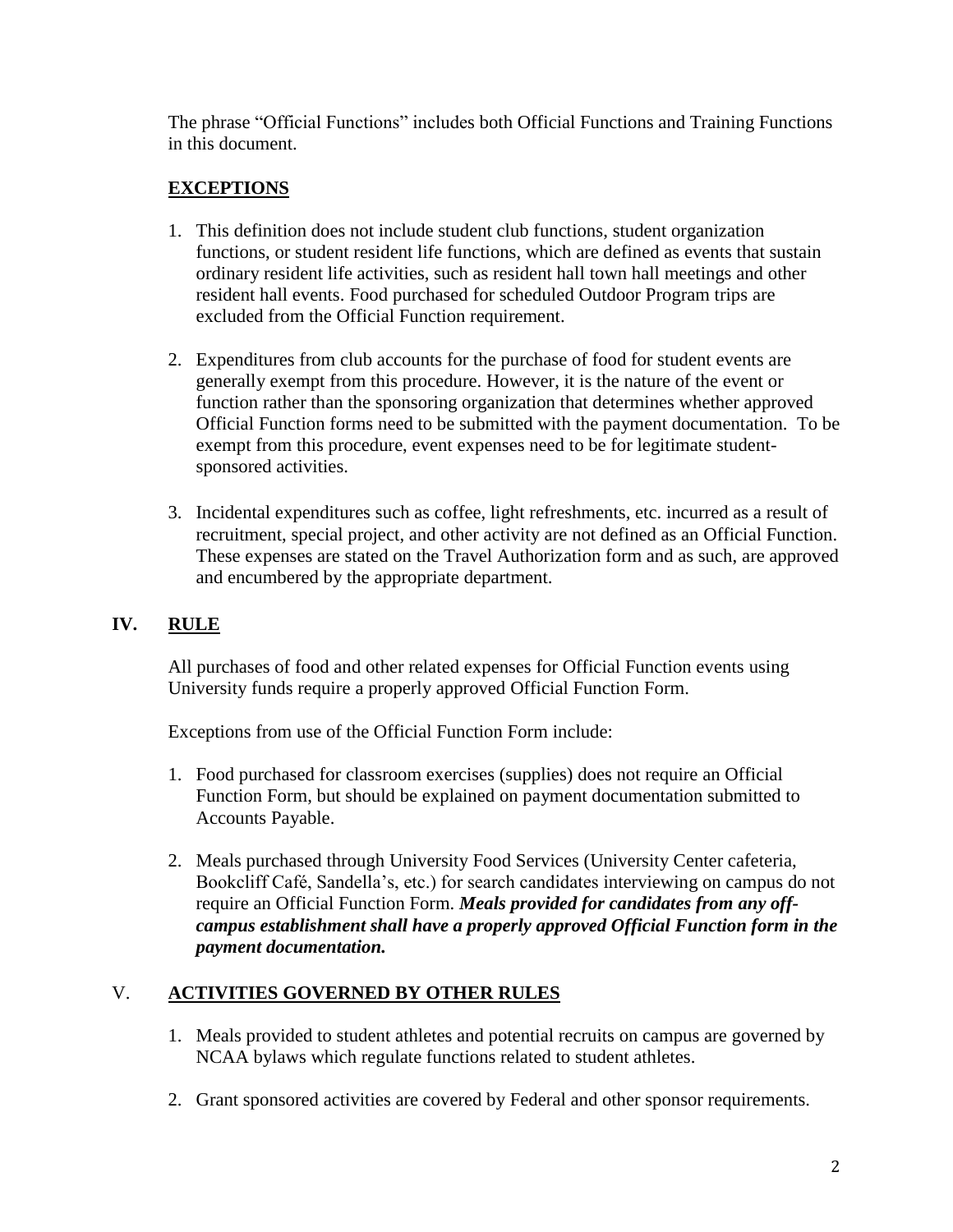The phrase "Official Functions" includes both Official Functions and Training Functions in this document.

## **EXCEPTIONS**

- 1. This definition does not include student club functions, student organization functions, or student resident life functions, which are defined as events that sustain ordinary resident life activities, such as resident hall town hall meetings and other resident hall events. Food purchased for scheduled Outdoor Program trips are excluded from the Official Function requirement.
- 2. Expenditures from club accounts for the purchase of food for student events are generally exempt from this procedure. However, it is the nature of the event or function rather than the sponsoring organization that determines whether approved Official Function forms need to be submitted with the payment documentation. To be exempt from this procedure, event expenses need to be for legitimate studentsponsored activities.
- 3. Incidental expenditures such as coffee, light refreshments, etc. incurred as a result of recruitment, special project, and other activity are not defined as an Official Function. These expenses are stated on the Travel Authorization form and as such, are approved and encumbered by the appropriate department.

## **IV. RULE**

All purchases of food and other related expenses for Official Function events using University funds require a properly approved Official Function Form.

Exceptions from use of the Official Function Form include:

- 1. Food purchased for classroom exercises (supplies) does not require an Official Function Form, but should be explained on payment documentation submitted to Accounts Payable.
- 2. Meals purchased through University Food Services (University Center cafeteria, Bookcliff Café, Sandella's, etc.) for search candidates interviewing on campus do not require an Official Function Form. *Meals provided for candidates from any offcampus establishment shall have a properly approved Official Function form in the payment documentation.*

# V. **ACTIVITIES GOVERNED BY OTHER RULES**

- 1. Meals provided to student athletes and potential recruits on campus are governed by NCAA bylaws which regulate functions related to student athletes.
- 2. Grant sponsored activities are covered by Federal and other sponsor requirements.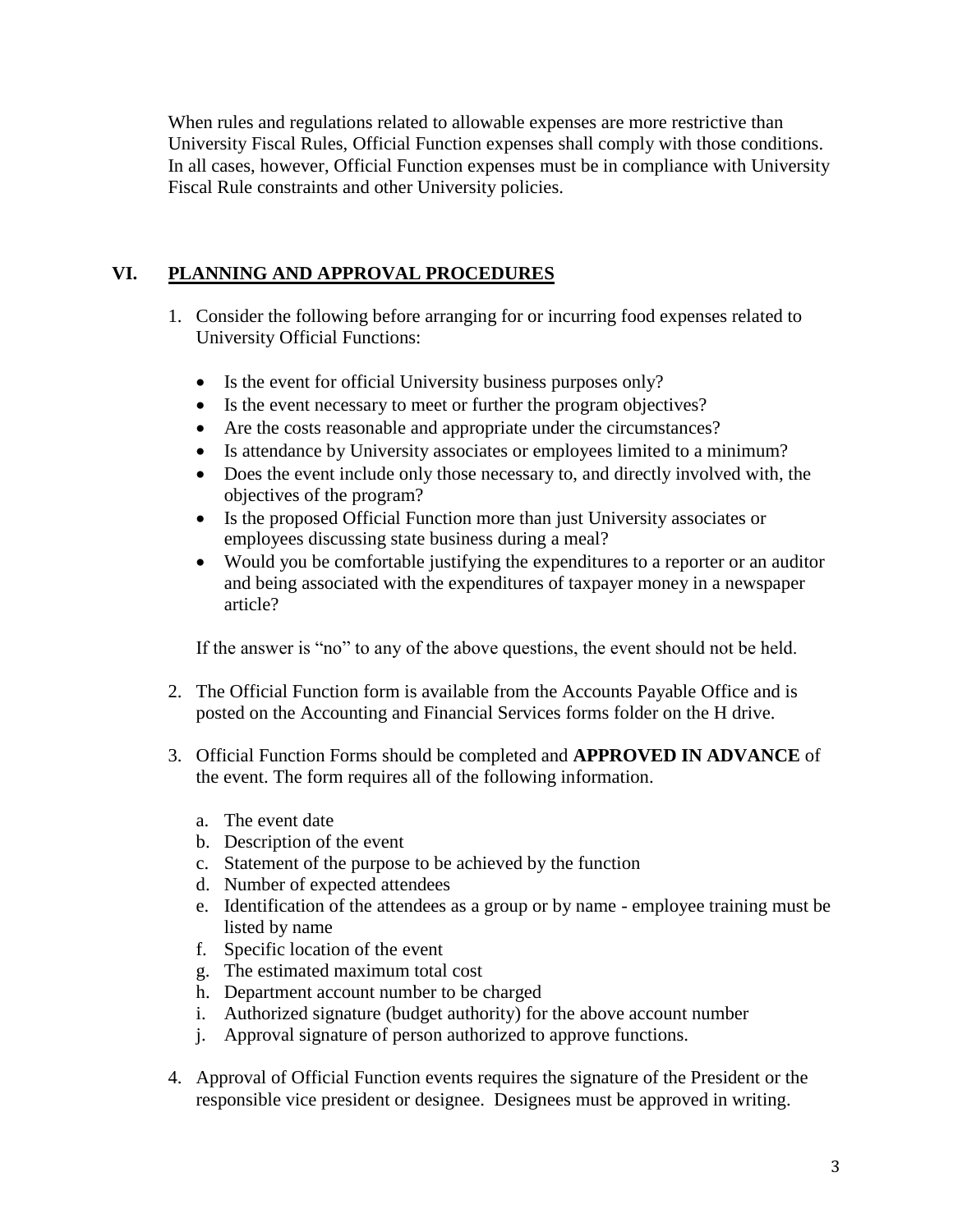When rules and regulations related to allowable expenses are more restrictive than University Fiscal Rules, Official Function expenses shall comply with those conditions. In all cases, however, Official Function expenses must be in compliance with University Fiscal Rule constraints and other University policies.

## **VI. PLANNING AND APPROVAL PROCEDURES**

- 1. Consider the following before arranging for or incurring food expenses related to University Official Functions:
	- Is the event for official University business purposes only?
	- Is the event necessary to meet or further the program objectives?
	- Are the costs reasonable and appropriate under the circumstances?
	- Is attendance by University associates or employees limited to a minimum?
	- Does the event include only those necessary to, and directly involved with, the objectives of the program?
	- Is the proposed Official Function more than just University associates or employees discussing state business during a meal?
	- Would you be comfortable justifying the expenditures to a reporter or an auditor and being associated with the expenditures of taxpayer money in a newspaper article?

If the answer is "no" to any of the above questions, the event should not be held.

- 2. The Official Function form is available from the Accounts Payable Office and is posted on the Accounting and Financial Services forms folder on the H drive.
- 3. Official Function Forms should be completed and **APPROVED IN ADVANCE** of the event. The form requires all of the following information.
	- a. The event date
	- b. Description of the event
	- c. Statement of the purpose to be achieved by the function
	- d. Number of expected attendees
	- e. Identification of the attendees as a group or by name employee training must be listed by name
	- f. Specific location of the event
	- g. The estimated maximum total cost
	- h. Department account number to be charged
	- i. Authorized signature (budget authority) for the above account number
	- j. Approval signature of person authorized to approve functions.
- 4. Approval of Official Function events requires the signature of the President or the responsible vice president or designee. Designees must be approved in writing.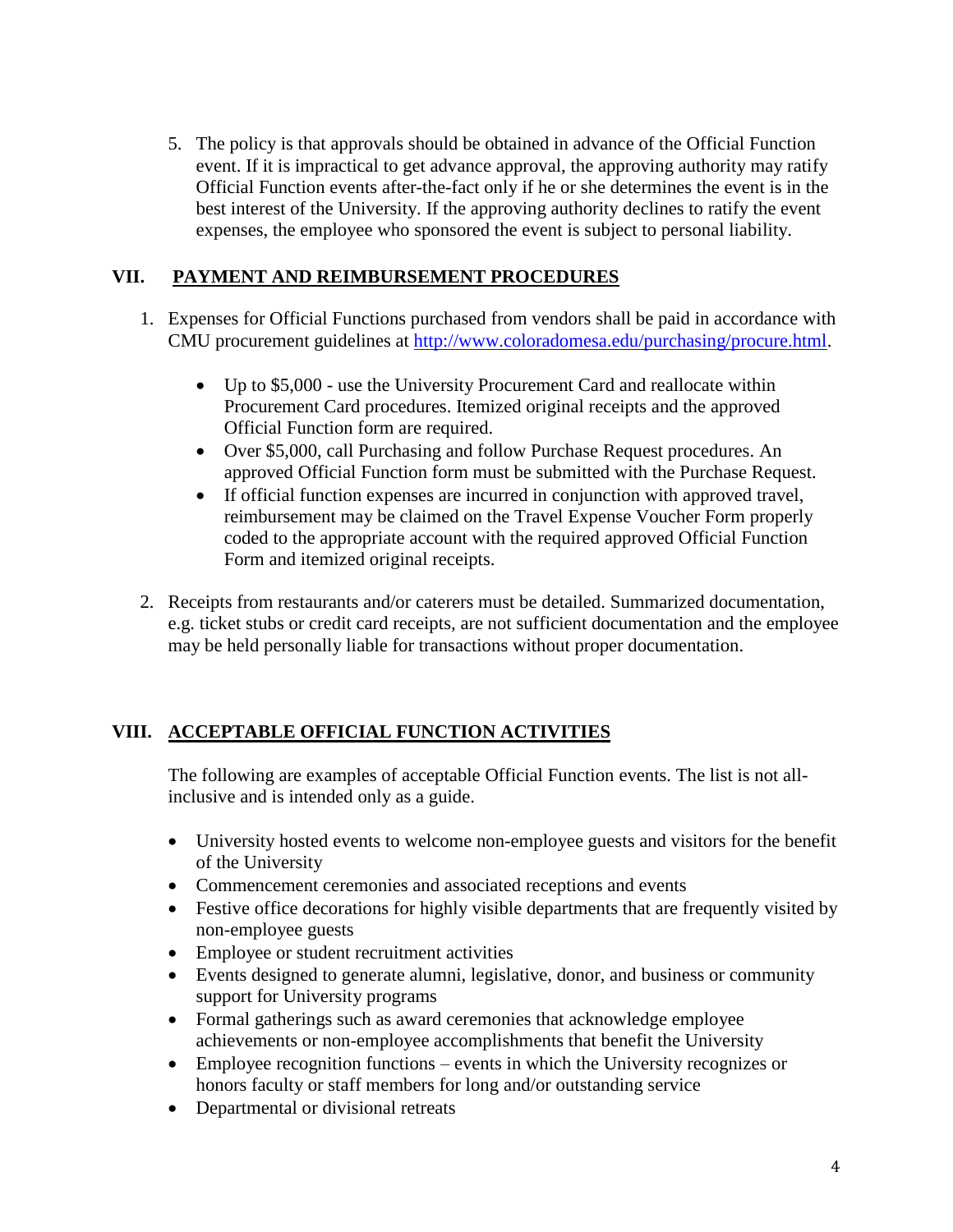5. The policy is that approvals should be obtained in advance of the Official Function event. If it is impractical to get advance approval, the approving authority may ratify Official Function events after-the-fact only if he or she determines the event is in the best interest of the University. If the approving authority declines to ratify the event expenses, the employee who sponsored the event is subject to personal liability.

### **VII. PAYMENT AND REIMBURSEMENT PROCEDURES**

- 1. Expenses for Official Functions purchased from vendors shall be paid in accordance with CMU procurement guidelines at [http://www.coloradomesa.edu/purchasing/procure.html.](http://www.coloradomesa.edu/purchasing/procure.html)
	- Up to \$5,000 use the University Procurement Card and reallocate within Procurement Card procedures. Itemized original receipts and the approved Official Function form are required.
	- Over \$5,000, call Purchasing and follow Purchase Request procedures. An approved Official Function form must be submitted with the Purchase Request.
	- If official function expenses are incurred in conjunction with approved travel, reimbursement may be claimed on the Travel Expense Voucher Form properly coded to the appropriate account with the required approved Official Function Form and itemized original receipts.
- 2. Receipts from restaurants and/or caterers must be detailed. Summarized documentation, e.g. ticket stubs or credit card receipts, are not sufficient documentation and the employee may be held personally liable for transactions without proper documentation.

# **VIII. ACCEPTABLE OFFICIAL FUNCTION ACTIVITIES**

The following are examples of acceptable Official Function events. The list is not allinclusive and is intended only as a guide.

- University hosted events to welcome non-employee guests and visitors for the benefit of the University
- Commencement ceremonies and associated receptions and events
- Festive office decorations for highly visible departments that are frequently visited by non-employee guests
- Employee or student recruitment activities
- Events designed to generate alumni, legislative, donor, and business or community support for University programs
- Formal gatherings such as award ceremonies that acknowledge employee achievements or non-employee accomplishments that benefit the University
- Employee recognition functions events in which the University recognizes or honors faculty or staff members for long and/or outstanding service
- Departmental or divisional retreats